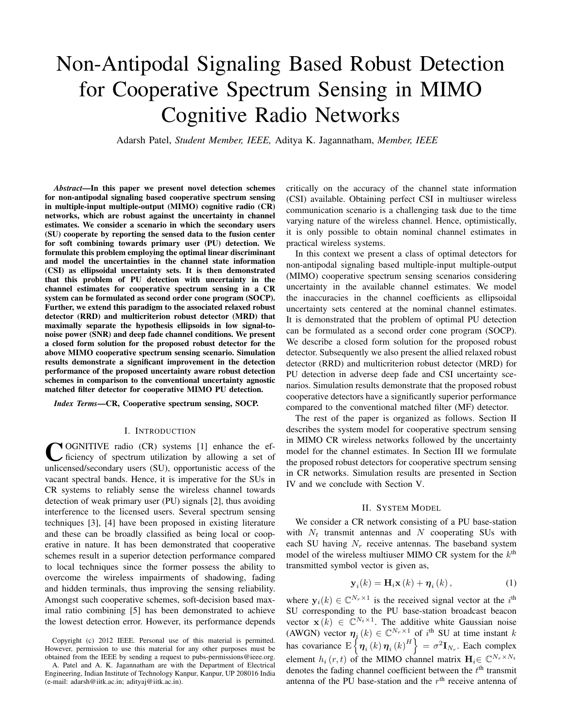# Non-Antipodal Signaling Based Robust Detection for Cooperative Spectrum Sensing in MIMO Cognitive Radio Networks

Adarsh Patel, *Student Member, IEEE,* Aditya K. Jagannatham, *Member, IEEE*

*Abstract*—In this paper we present novel detection schemes for non-antipodal signaling based cooperative spectrum sensing in multiple-input multiple-output (MIMO) cognitive radio (CR) networks, which are robust against the uncertainty in channel estimates. We consider a scenario in which the secondary users (SU) cooperate by reporting the sensed data to the fusion center for soft combining towards primary user (PU) detection. We formulate this problem employing the optimal linear discriminant and model the uncertainties in the channel state information (CSI) as ellipsoidal uncertainty sets. It is then demonstrated that this problem of PU detection with uncertainty in the channel estimates for cooperative spectrum sensing in a CR system can be formulated as second order cone program (SOCP). Further, we extend this paradigm to the associated relaxed robust detector (RRD) and multicriterion robust detector (MRD) that maximally separate the hypothesis ellipsoids in low signal-tonoise power (SNR) and deep fade channel conditions. We present a closed form solution for the proposed robust detector for the above MIMO cooperative spectrum sensing scenario. Simulation results demonstrate a significant improvement in the detection performance of the proposed uncertainty aware robust detection schemes in comparison to the conventional uncertainty agnostic matched filter detector for cooperative MIMO PU detection.

### *Index Terms*—CR, Cooperative spectrum sensing, SOCP.

#### I. INTRODUCTION

COGNITIVE radio (CR) systems [1] enhance the effection of spectrum utilization by allowing a set of OGNITIVE radio (CR) systems [1] enhance the efunlicensed/secondary users (SU), opportunistic access of the vacant spectral bands. Hence, it is imperative for the SUs in CR systems to reliably sense the wireless channel towards detection of weak primary user (PU) signals [2], thus avoiding interference to the licensed users. Several spectrum sensing techniques [3], [4] have been proposed in existing literature and these can be broadly classified as being local or cooperative in nature. It has been demonstrated that cooperative schemes result in a superior detection performance compared to local techniques since the former possess the ability to overcome the wireless impairments of shadowing, fading and hidden terminals, thus improving the sensing reliability. Amongst such cooperative schemes, soft-decision based maximal ratio combining [5] has been demonstrated to achieve the lowest detection error. However, its performance depends

Copyright (c) 2012 IEEE. Personal use of this material is permitted. However, permission to use this material for any other purposes must be obtained from the IEEE by sending a request to pubs-permissions@ieee.org. A. Patel and A. K. Jagannatham are with the Department of Electrical Engineering, Indian Institute of Technology Kanpur, Kanpur, UP 208016 India (e-mail: adarsh@iitk.ac.in; adityaj@iitk.ac.in).

critically on the accuracy of the channel state information (CSI) available. Obtaining perfect CSI in multiuser wireless communication scenario is a challenging task due to the time varying nature of the wireless channel. Hence, optimistically, it is only possible to obtain nominal channel estimates in practical wireless systems.

In this context we present a class of optimal detectors for non-antipodal signaling based multiple-input multiple-output (MIMO) cooperative spectrum sensing scenarios considering uncertainty in the available channel estimates. We model the inaccuracies in the channel coefficients as ellipsoidal uncertainty sets centered at the nominal channel estimates. It is demonstrated that the problem of optimal PU detection can be formulated as a second order cone program (SOCP). We describe a closed form solution for the proposed robust detector. Subsequently we also present the allied relaxed robust detector (RRD) and multicriterion robust detector (MRD) for PU detection in adverse deep fade and CSI uncertainty scenarios. Simulation results demonstrate that the proposed robust cooperative detectors have a significantly superior performance compared to the conventional matched filter (MF) detector.

The rest of the paper is organized as follows. Section II describes the system model for cooperative spectrum sensing in MIMO CR wireless networks followed by the uncertainty model for the channel estimates. In Section III we formulate the proposed robust detectors for cooperative spectrum sensing in CR networks. Simulation results are presented in Section IV and we conclude with Section V.

## II. SYSTEM MODEL

We consider a CR network consisting of a PU base-station with  $N_t$  transmit antennas and  $N$  cooperating SUs with each SU having  $N_r$  receive antennas. The baseband system model of the wireless multiuser MIMO CR system for the  $k^{\text{th}}$ transmitted symbol vector is given as,

$$
\mathbf{y}_{i}(k) = \mathbf{H}_{i}\mathbf{x}(k) + \boldsymbol{\eta}_{i}(k), \qquad (1)
$$

where  $y_i(k) \in \mathbb{C}^{N_r \times 1}$  is the received signal vector at the *i*<sup>th</sup> SU corresponding to the PU base-station broadcast beacon vector  $\mathbf{x}(k) \in \mathbb{C}^{N_t \times 1}$ . The additive white Gaussian noise (AWGN) vector  $\eta_i(k) \in \mathbb{C}^{N_r \times 1}$  of *i*<sup>th</sup> SU at time instant *k* has covariance  $E\left\{\boldsymbol{\eta}_i(k)\boldsymbol{\eta}_i(k)^H\right\} = \sigma^2\mathbf{I}_{N_r}$ . Each complex element *h*<sub>*i*</sub> (*r, t*) of the MIMO channel matrix  $\mathbf{H}_i \in \mathbb{C}^{N_r \times N_t}$ denotes the fading channel coefficient between the  $t<sup>th</sup>$  transmit antenna of the PU base-station and the  $r<sup>th</sup>$  receive antenna of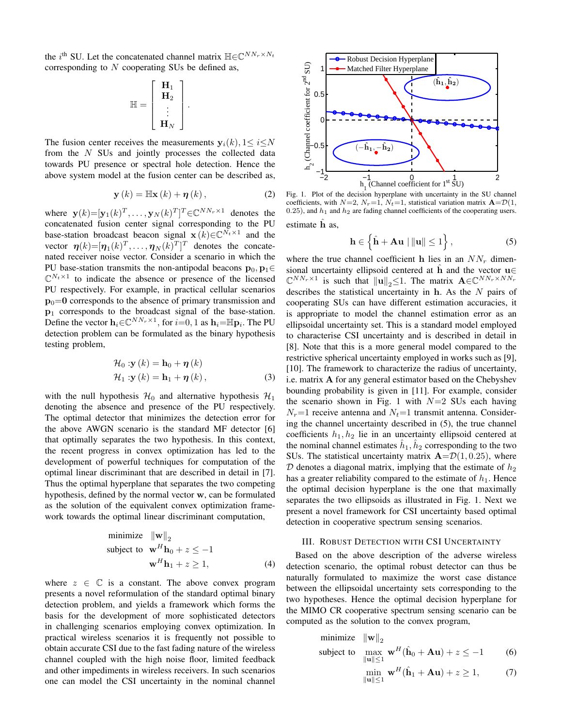the *i*<sup>th</sup> SU. Let the concatenated channel matrix  $\mathbb{H} \in \mathbb{C}^{NN_r \times N_t}$ corresponding to *N* cooperating SUs be defined as,

$$
\mathbb{H} = \left[ \begin{array}{c} \mathbf{H}_1 \\ \mathbf{H}_2 \\ \vdots \\ \mathbf{H}_N \end{array} \right]
$$

The fusion center receives the measurements  $\mathbf{v}_i(k)$ ,  $1 \leq i \leq N$ from the *N* SUs and jointly processes the collected data towards PU presence or spectral hole detection. Hence the above system model at the fusion center can be described as,

$$
\mathbf{y}(k) = \mathbb{H}\mathbf{x}(k) + \boldsymbol{\eta}(k), \qquad (2)
$$

*.*

where  $\mathbf{y}(k) = [\mathbf{y}_1(k)^T, \dots, \mathbf{y}_N(k)^T]^T \in \mathbb{C}^{NN_r \times 1}$  denotes the concatenated fusion center signal corresponding to the PU base-station broadcast beacon signal  $\mathbf{x}(k) \in \mathbb{C}^{N_t \times 1}$  and the vector  $\boldsymbol{\eta}(k) = [\boldsymbol{\eta}_1(k)^T, \dots, \boldsymbol{\eta}_N(k)^T]^T$  denotes the concatenated receiver noise vector. Consider a scenario in which the PU base-station transmits the non-antipodal beacons  $\mathbf{p}_0, \mathbf{p}_1 \in$  $\mathbb{C}^{N_t \times 1}$  to indicate the absence or presence of the licensed PU respectively. For example, in practical cellular scenarios **p**<sub>0</sub>=**0** corresponds to the absence of primary transmission and **p**<sup>1</sup> corresponds to the broadcast signal of the base-station. Define the vector  $\mathbf{h}_i \in \mathbb{C}^{NN_r \times 1}$ , for  $i=0, 1$  as  $\mathbf{h}_i = \mathbb{H} \mathbf{p}_i$ . The PU detection problem can be formulated as the binary hypothesis testing problem,

$$
\mathcal{H}_0: \mathbf{y}(k) = \mathbf{h}_0 + \boldsymbol{\eta}(k)
$$
  

$$
\mathcal{H}_1: \mathbf{y}(k) = \mathbf{h}_1 + \boldsymbol{\eta}(k),
$$
 (3)

with the null hypothesis  $\mathcal{H}_0$  and alternative hypothesis  $\mathcal{H}_1$ denoting the absence and presence of the PU respectively. The optimal detector that minimizes the detection error for the above AWGN scenario is the standard MF detector [6] that optimally separates the two hypothesis. In this context, the recent progress in convex optimization has led to the development of powerful techniques for computation of the optimal linear discriminant that are described in detail in [7]. Thus the optimal hyperplane that separates the two competing hypothesis, defined by the normal vector **w**, can be formulated as the solution of the equivalent convex optimization framework towards the optimal linear discriminant computation,

minimize 
$$
\|\mathbf{w}\|_2
$$
  
\nsubject to  $\mathbf{w}^H \mathbf{h}_0 + z \le -1$   
\n $\mathbf{w}^H \mathbf{h}_1 + z \ge 1,$  (4)

where  $z \in \mathbb{C}$  is a constant. The above convex program presents a novel reformulation of the standard optimal binary detection problem, and yields a framework which forms the basis for the development of more sophisticated detectors in challenging scenarios employing convex optimization. In practical wireless scenarios it is frequently not possible to obtain accurate CSI due to the fast fading nature of the wireless channel coupled with the high noise floor, limited feedback and other impediments in wireless receivers. In such scenarios one can model the CSI uncertainty in the nominal channel



Fig. 1. Plot of the decision hyperplane with uncertainty in the SU channel coefficients, with  $N=2$ ,  $N_r=1$ ,  $N_t=1$ , statistical variation matrix  $\mathbf{A} = \mathcal{D}(1)$ ,  $(0.25)$ , and  $h_1$  and  $h_2$  are fading channel coefficients of the cooperating users. estimate **h** as,

$$
\mathbf{h} \in \left\{ \hat{\mathbf{h}} + \mathbf{A}\mathbf{u} \mid \|\mathbf{u}\| \le 1 \right\},\tag{5}
$$

where the true channel coefficient **h** lies in an  $NN_r$  dimensional uncertainty ellipsoid centered at **h** and the vector **u***∈*  $\mathbb{C}^{NN_r \times 1}$  is such that  $||\mathbf{u}||_2 \leq 1$ . The matrix  $\mathbf{A} \in \mathbb{C}^{NN_r \times NN_r}$ describes the statistical uncertainty in **h**. As the *N* pairs of cooperating SUs can have different estimation accuracies, it is appropriate to model the channel estimation error as an ellipsoidal uncertainty set. This is a standard model employed to characterise CSI uncertainty and is described in detail in [8]. Note that this is a more general model compared to the restrictive spherical uncertainty employed in works such as [9], [10]. The framework to characterize the radius of uncertainty, i.e. matrix **A** for any general estimator based on the Chebyshev bounding probability is given in [11]. For example, consider the scenario shown in Fig. 1 with *N*=2 SUs each having  $N_r = 1$  receive antenna and  $N_t = 1$  transmit antenna. Considering the channel uncertainty described in (5), the true channel coefficients  $h_1, h_2$  lie in an uncertainty ellipsoid centered at the nominal channel estimates  $\hat{h}_1, \hat{h}_2$  corresponding to the two SUs. The statistical uncertainty matrix  $A = D(1, 0.25)$ , where  $D$  denotes a diagonal matrix, implying that the estimate of  $h_2$ has a greater reliability compared to the estimate of  $h_1$ . Hence the optimal decision hyperplane is the one that maximally separates the two ellipsoids as illustrated in Fig. 1. Next we present a novel framework for CSI uncertainty based optimal detection in cooperative spectrum sensing scenarios.

#### III. ROBUST DETECTION WITH CSI UNCERTAINTY

Based on the above description of the adverse wireless detection scenario, the optimal robust detector can thus be naturally formulated to maximize the worst case distance between the ellipsoidal uncertainty sets corresponding to the two hypotheses. Hence the optimal decision hyperplane for the MIMO CR cooperative spectrum sensing scenario can be computed as the solution to the convex program,

minimize 
$$
\|\mathbf{w}\|_2
$$
  
\nsubject to  $\max_{\|\mathbf{u}\| \le 1} \mathbf{w}^H(\hat{\mathbf{h}}_0 + \mathbf{A}\mathbf{u}) + z \le -1$  (6)  
\n $\min_{\|\mathbf{u}\| \le 1} \mathbf{w}^H(\hat{\mathbf{h}}_1 + \mathbf{A}\mathbf{u}) + z \ge 1$ , (7)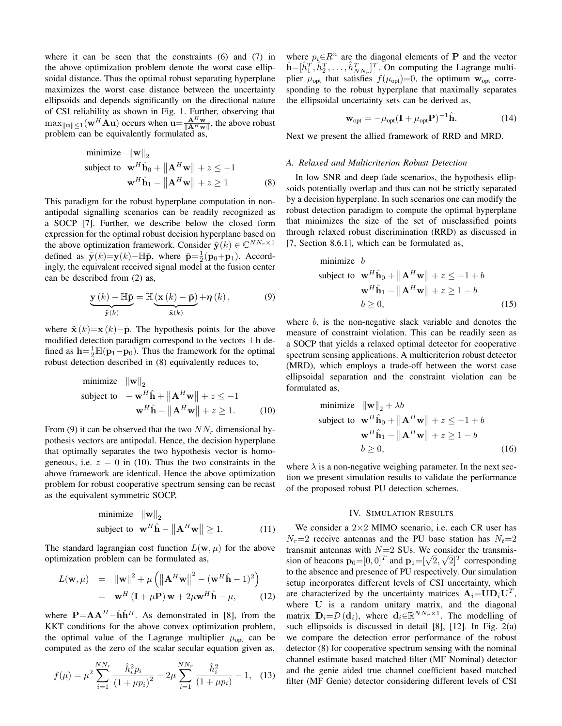where it can be seen that the constraints (6) and (7) in the above optimization problem denote the worst case ellipsoidal distance. Thus the optimal robust separating hyperplane maximizes the worst case distance between the uncertainty ellipsoids and depends significantly on the directional nature of CSI reliability as shown in Fig. 1. Further, observing that  $\max_{\|\mathbf{u}\| \leq 1} (\mathbf{w}^H \mathbf{A} \mathbf{u})$  occurs when  $\mathbf{u} = \frac{\mathbf{A}^H \mathbf{w}}{\|\mathbf{A}^H \mathbf{w}\|}$ *∥***A***H***w***∥* , the above robust problem can be equivalently formulated as,

minimize 
$$
\|\mathbf{w}\|_2
$$
  
\nsubject to  $\mathbf{w}^H \hat{\mathbf{h}}_0 + \|\mathbf{A}^H \mathbf{w}\| + z \le -1$   
\n $\mathbf{w}^H \hat{\mathbf{h}}_1 - \|\mathbf{A}^H \mathbf{w}\| + z \ge 1$  (8)

This paradigm for the robust hyperplane computation in nonantipodal signalling scenarios can be readily recognized as a SOCP [7]. Further, we describe below the closed form expression for the optimal robust decision hyperplane based on the above optimization framework. Consider  $\tilde{\mathbf{y}}(k) \in \mathbb{C}^{NN_r \times 1}$ defined as  $\tilde{\mathbf{y}}(k) = \mathbf{y}(k) - \mathbb{H}\bar{\mathbf{p}}$ , where  $\bar{\mathbf{p}} = \frac{1}{2}(\mathbf{p}_0 + \mathbf{p}_1)$ . Accordingly, the equivalent received signal model at the fusion center can be described from (2) as,

$$
\underbrace{\mathbf{y}(k) - \mathbb{H}\bar{\mathbf{p}}}_{\tilde{\mathbf{y}}(k)} = \mathbb{H}\underbrace{(\mathbf{x}(k) - \bar{\mathbf{p}})}_{\tilde{\mathbf{x}}(k)} + \eta(k),
$$
 (9)

where  $\tilde{\mathbf{x}}(k) = \mathbf{x}(k) - \bar{\mathbf{p}}$ . The hypothesis points for the above modified detection paradigm correspond to the vectors *±***h** defined as  $\mathbf{h} = \frac{1}{2} \mathbb{H}(\mathbf{p}_1 - \mathbf{p}_0)$ . Thus the framework for the optimal robust detection described in (8) equivalently reduces to,

minimize 
$$
\|\mathbf{w}\|_2
$$
  
\nsubject to  $-\mathbf{w}^H \hat{\mathbf{h}} + ||\mathbf{A}^H \mathbf{w}|| + z \le -1$   
\n $\mathbf{w}^H \hat{\mathbf{h}} - ||\mathbf{A}^H \mathbf{w}|| + z \ge 1.$  (10)

From (9) it can be observed that the two  $NN_r$  dimensional hypothesis vectors are antipodal. Hence, the decision hyperplane that optimally separates the two hypothesis vector is homogeneous, i.e.  $z = 0$  in (10). Thus the two constraints in the above framework are identical. Hence the above optimization problem for robust cooperative spectrum sensing can be recast as the equivalent symmetric SOCP,

minimize 
$$
\|\mathbf{w}\|_2
$$
  
subject to  $\mathbf{w}^H \hat{\mathbf{h}} - \|\mathbf{A}^H \mathbf{w}\| \ge 1.$  (11)

The standard lagrangian cost function  $L(\mathbf{w}, \mu)$  for the above optimization problem can be formulated as,

$$
L(\mathbf{w}, \mu) = \|\mathbf{w}\|^2 + \mu \left( \left\| \mathbf{A}^H \mathbf{w} \right\|^2 - (\mathbf{w}^H \hat{\mathbf{h}} - 1)^2 \right)
$$
  
=  $\mathbf{w}^H (\mathbf{I} + \mu \mathbf{P}) \mathbf{w} + 2\mu \mathbf{w}^H \hat{\mathbf{h}} - \mu,$  (12)

where  $P = AA^H - \hat{h}\hat{h}^H$ . As demonstrated in [8], from the KKT conditions for the above convex optimization problem, the optimal value of the Lagrange multiplier  $\mu_{opt}$  can be computed as the zero of the scalar secular equation given as,

$$
f(\mu) = \mu^2 \sum_{i=1}^{NN_r} \frac{\hat{h}_i^2 p_i}{(1 + \mu p_i)^2} - 2\mu \sum_{i=1}^{NN_r} \frac{\hat{h}_i^2}{(1 + \mu p_i)} - 1, \quad (13)
$$

where  $p_i \in R^n$  are the diagonal elements of **P** and the vector  $\hat{\mathbf{h}} = [\hat{h}_1^T, \hat{h}_2^T, \dots, \hat{h}_{NN_r}^T]^T$ . On computing the Lagrange multiplier  $\mu_{opt}$  that satisfies  $f(\mu_{opt})=0$ , the optimum  $\mathbf{w}_{opt}$  corresponding to the robust hyperplane that maximally separates the ellipsoidal uncertainty sets can be derived as,

$$
\mathbf{w}_{\rm opt} = -\mu_{\rm opt} (\mathbf{I} + \mu_{\rm opt} \mathbf{P})^{-1} \hat{\mathbf{h}}.
$$
 (14)

Next we present the allied framework of RRD and MRD.

## *A. Relaxed and Multicriterion Robust Detection*

In low SNR and deep fade scenarios, the hypothesis ellipsoids potentially overlap and thus can not be strictly separated by a decision hyperplane. In such scenarios one can modify the robust detection paradigm to compute the optimal hyperplane that minimizes the size of the set of misclassified points through relaxed robust discrimination (RRD) as discussed in [7, Section 8.6.1], which can be formulated as,

minimize 
$$
b
$$
  
\nsubject to  $\mathbf{w}^H \hat{\mathbf{h}}_0 + ||\mathbf{A}^H \mathbf{w}|| + z \le -1 + b$   
\n $\mathbf{w}^H \hat{\mathbf{h}}_1 - ||\mathbf{A}^H \mathbf{w}|| + z \ge 1 - b$   
\n $b \ge 0,$  (15)

where *b*, is the non-negative slack variable and denotes the measure of constraint violation. This can be readily seen as a SOCP that yields a relaxed optimal detector for cooperative spectrum sensing applications. A multicriterion robust detector (MRD), which employs a trade-off between the worst case ellipsoidal separation and the constraint violation can be formulated as,

minimize 
$$
\|\mathbf{w}\|_2 + \lambda b
$$
  
\nsubject to  $\mathbf{w}^H \hat{\mathbf{h}}_0 + \|\mathbf{A}^H \mathbf{w}\| + z \le -1 + b$   
\n $\mathbf{w}^H \hat{\mathbf{h}}_1 - \|\mathbf{A}^H \mathbf{w}\| + z \ge 1 - b$   
\n $b \ge 0,$  (16)

where  $\lambda$  is a non-negative weighing parameter. In the next section we present simulation results to validate the performance of the proposed robust PU detection schemes.

## IV. SIMULATION RESULTS

We consider a 2*×*2 MIMO scenario, i.e. each CR user has  $N_r$ =2 receive antennas and the PU base station has  $N_t$ =2 transmit antennas with *N*=2 SUs. We consider the transmission of beacons  $\mathbf{p}_0 = [0, 0]^T$  and  $\mathbf{p}_1 = [\sqrt{2}, \sqrt{2}]^T$  corresponding to the absence and presence of PU respectively. Our simulation setup incorporates different levels of CSI uncertainty, which are characterized by the uncertainty matrices  $A_i = UD_iU^T$ , where **U** is a random unitary matrix, and the diagonal matrix  $\mathbf{D}_i = \mathcal{D}(\mathbf{d}_i)$ , where  $\mathbf{d}_i \in \mathbb{R}^{NN_r \times 1}$ . The modelling of such ellipsoids is discussed in detail [8], [12]. In Fig. 2(a) we compare the detection error performance of the robust detector (8) for cooperative spectrum sensing with the nominal channel estimate based matched filter (MF Nominal) detector and the genie aided true channel coefficient based matched filter (MF Genie) detector considering different levels of CSI